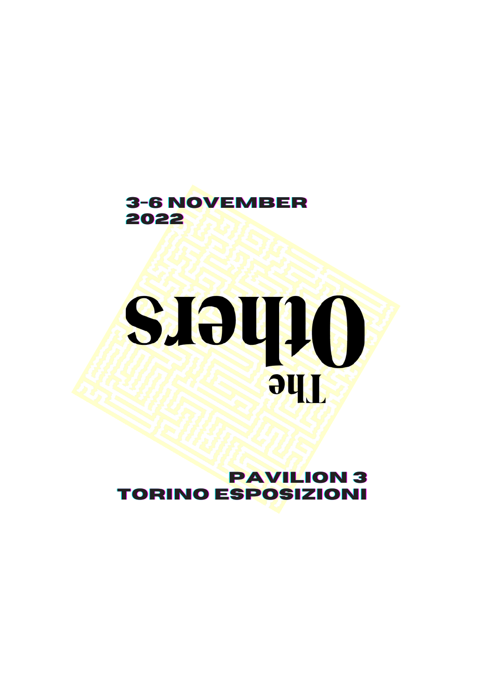

# SISUIG **Jhe**

#### **pavilion3 torino Esposizioni**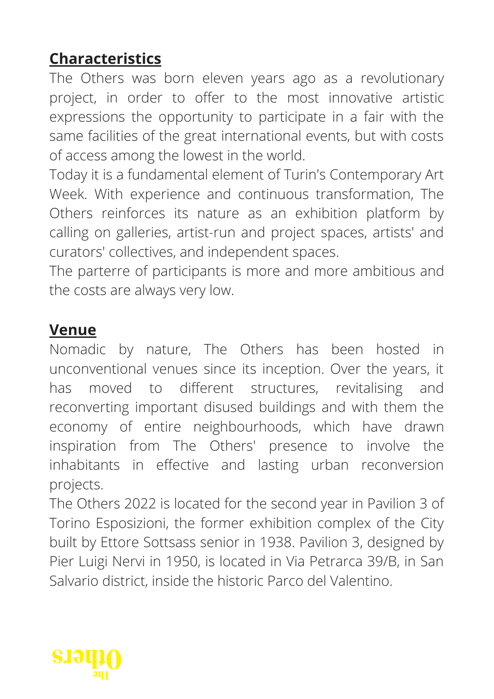# **Characteristics**

The Others was born eleven years ago as a revolutionary project, in order to offer to the most innovative artistic expressions the opportunity to participate in a fair with the same facilities of the great international events, but with costs of access among the lowest in the world.

Today it is a fundamental element of Turin's Contemporary Art Week. With experience and continuous transformation, The Others reinforces its nature as an exhibition platform by calling on galleries, artist-run and project spaces, artists' and curators' collectives, and independent spaces.

The parterre of participants is more and more ambitious and the costs are always very low.

#### **Venue**

Nomadic by nature, The Others has been hosted in unconventional venues since its inception. Over the years, it has moved to different structures, revitalising and reconverting important disused buildings and with them the economy of entire neighbourhoods, which have drawn inspiration from The Others' presence to involve the inhabitants in effective and lasting urban reconversion projects.

The Others 2022 is located for the second year in Pavilion 3 of Torino Esposizioni, the former exhibition complex of the City built by Ettore Sottsass senior in 1938. Pavilion 3, designed by Pier Luigi Nervi in 1950, is located in Via Petrarca 39/B, in San Salvario district, inside the historic Parco del Valentino.

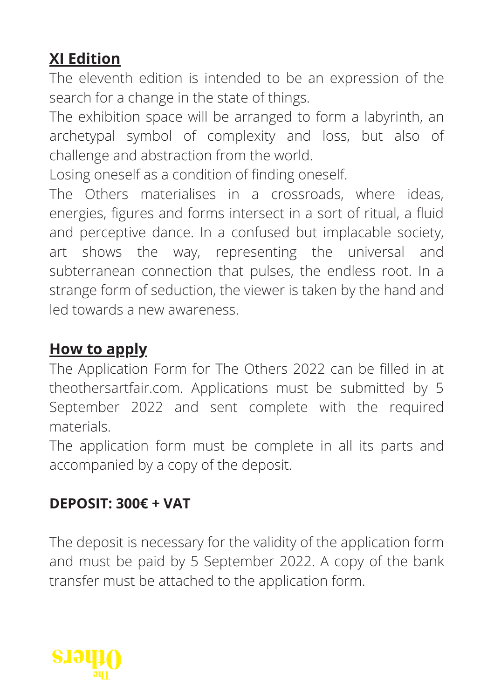# **XI Edition**

The eleventh edition is intended to be an expression of the search for a change in the state of things.

The exhibition space will be arranged to form a labyrinth, an archetypal symbol of complexity and loss, but also of challenge and abstraction from the world.

Losing oneself as a condition of finding oneself.

The Others materialises in a crossroads, where ideas, energies, figures and forms intersect in a sort of ritual, a fluid and perceptive dance. In a confused but implacable society, art shows the way, representing the universal and subterranean connection that pulses, the endless root. In a strange form of seduction, the viewer is taken by the hand and led towards a new awareness.

# **How to apply**

The Application Form for The Others 2022 can be filled in at theothersartfair.com. Applications must be submitted by 5 September 2022 and sent complete with the required materials.

The application form must be complete in all its parts and accompanied by a copy of the deposit.

## **DEPOSIT: 300€ + VAT**

The deposit is necessary for the validity of the application form and must be paid by 5 September 2022. A copy of the bank transfer must be attached to the application form.

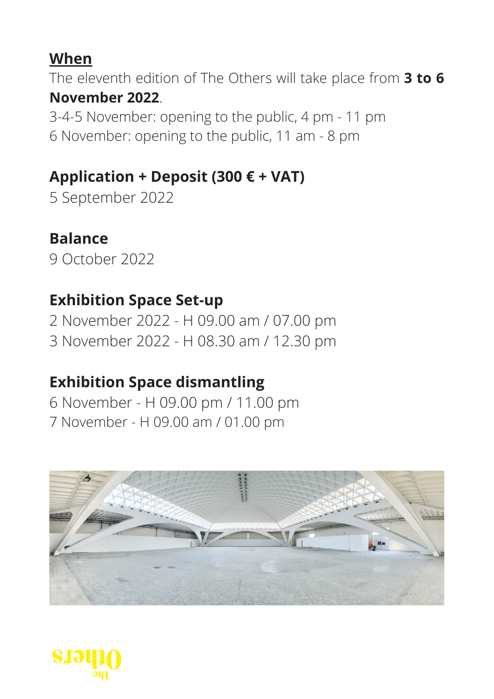# **When**

The eleventh edition of The Others will take place from **3 to 6 November 2022**.

3-4-5 November: opening to the public, 4 pm - 11 pm 6 November: opening to the public, 11 am - 8 pm

# **Application + Deposit (300 € + VAT)**

5 September 2022

# **Balance**

9 October 2022

# **Exhibition Space Set-up**

2 November 2022 - H 09.00 am / 07.00 pm 3 November 2022 - H 08.30 am / 12.30 pm

# **Exhibition Space dismantling**

6 November - H 09.00 pm / 11.00 pm 7 November - H 09.00 am / 01.00 pm



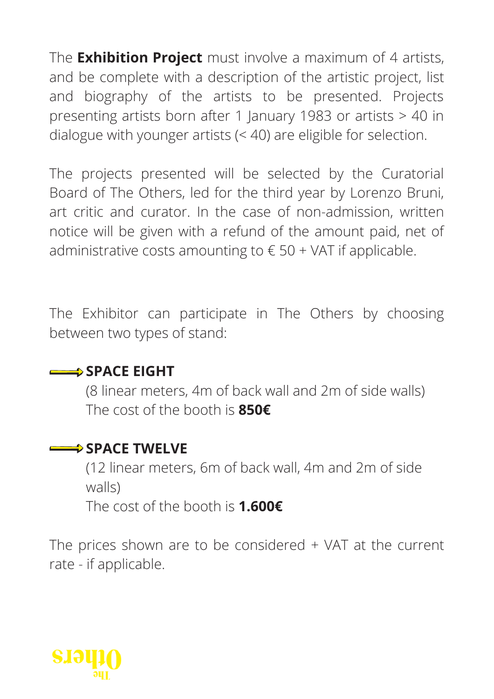The **Exhibition Project** must involve a maximum of 4 artists, and be complete with a description of the artistic project, list and biography of the artists to be presented. Projects presenting artists born after 1 January 1983 or artists > 40 in dialogue with younger artists (< 40) are eligible for selection.

The projects presented will be selected by the Curatorial Board of The Others, led for the third year by Lorenzo Bruni, art critic and curator. In the case of non-admission, written notice will be given with a refund of the amount paid, net of administrative costs amounting to  $\epsilon$  50 + VAT if applicable.

The Exhibitor can participate in The Others by choosing between two types of stand:

#### **SPACE EIGHT**

(8 linear meters, 4m of back wall and 2m of side walls) The cost of the booth is **850€**

## **SPACE TWELVE**

(12 linear meters, 6m of back wall, 4m and 2m of side walls)

The cost of the booth is **1.600€**

The prices shown are to be considered + VAT at the current rate - if applicable.

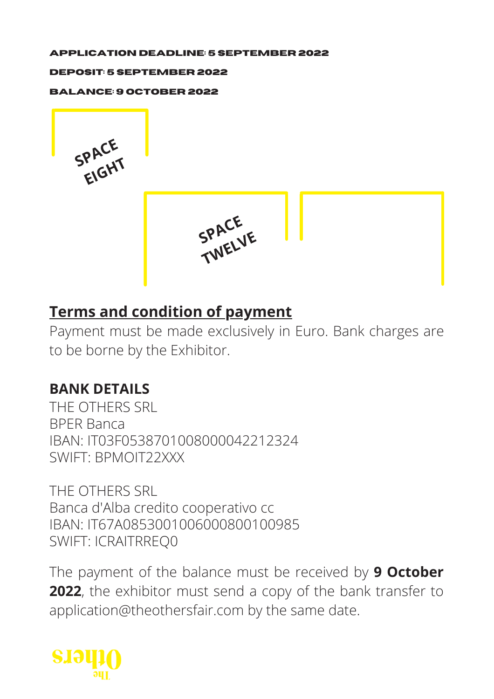#### **APPLICATION DEADLINE: 5 september 2022**

#### **DEPOSIT: 5 september 2022**

**BALANCE: 9 oCTOBER 2022**





# **Terms and condition of payment**

Payment must be made exclusively in Euro. Bank charges are to be borne by the Exhibitor.

## **BANK DETAILS**

THE OTHERS SRL BPER Banca IBAN: IT03F0538701008000042212324 SWIFT: BPMOIT22XXX

THE OTHERS SRL Banca d'Alba credito cooperativo cc IBAN: IT67A0853001006000800100985 SWIFT: ICRAITRREQ0

The payment of the balance must be received by **9 October 2022**, the exhibitor must send a copy of the bank transfer to application@theothersfair.com by the same date.